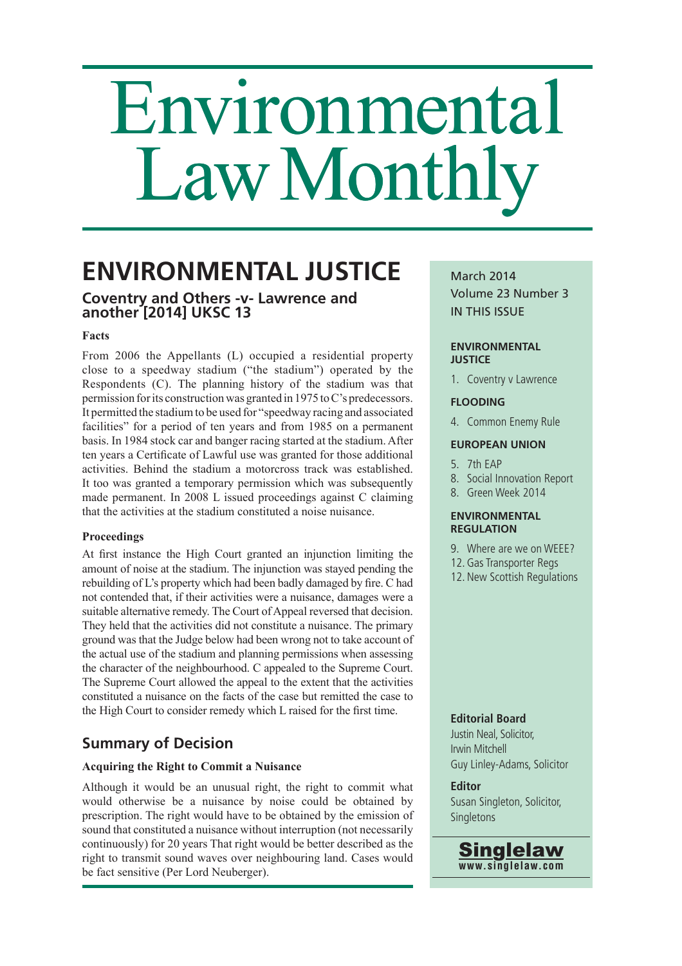# Environmental Law Monthly

# **ENVIRONMENTAL JUSTICE**

# **Coventry and Others -v- Lawrence and another [2014] UKSC 13**

#### **Facts**

 From 2006 the Appellants (L) occupied a residential property close to a speedway stadium ("the stadium") operated by the Respondents (C). The planning history of the stadium was that permission for its construction was granted in 1975 to C's predecessors. It permitted the stadium to be used for "speedway racing and associated facilities" for a period of ten years and from 1985 on a permanent basis. In 1984 stock car and banger racing started at the stadium. After ten years a Certificate of Lawful use was granted for those additional activities. Behind the stadium a motorcross track was established. It too was granted a temporary permission which was subsequently made permanent. In 2008 L issued proceedings against C claiming that the activities at the stadium constituted a noise nuisance.

#### **Proceedings**

At first instance the High Court granted an injunction limiting the amount of noise at the stadium. The injunction was stayed pending the rebuilding of L's property which had been badly damaged by fire. C had not contended that, if their activities were a nuisance, damages were a suitable alternative remedy. The Court of Appeal reversed that decision. They held that the activities did not constitute a nuisance. The primary ground was that the Judge below had been wrong not to take account of the actual use of the stadium and planning permissions when assessing the character of the neighbourhood. C appealed to the Supreme Court. The Supreme Court allowed the appeal to the extent that the activities constituted a nuisance on the facts of the case but remitted the case to the High Court to consider remedy which L raised for the first time.

# **Summary of Decision**

#### **Acquiring the Right to Commit a Nuisance**

 Although it would be an unusual right, the right to commit what would otherwise be a nuisance by noise could be obtained by prescription. The right would have to be obtained by the emission of sound that constituted a nuisance without interruption (not necessarily continuously) for 20 years That right would be better described as the right to transmit sound waves over neighbouring land. Cases would be fact sensitive (Per Lord Neuberger).

## March 2014 Volume 23 Number 3

IN THIS ISSUE

#### **ENVIRONMENTAL JUSTICE**

1. Coventry v Lawrence

#### **FLOODING**

4. Common Enemy Rule

#### **EUROPEAN UNION**

#### 5. 7th EAP

- 8. Social Innovation Report
- 8. Green Week 2014

#### **ENVIRONMENTAL REGULATION**

- 9. Where are we on WEEE?
- 12. Gas Transporter Regs
- 12. New Scottish Regulations

#### **Editorial Board**

Justin Neal, Solicitor, Irwin Mitchell Guy Linley-Adams, Solicitor

### **Editor**

Susan Singleton, Solicitor, **Singletons** 

**Singlelaw www.singlelaw.com**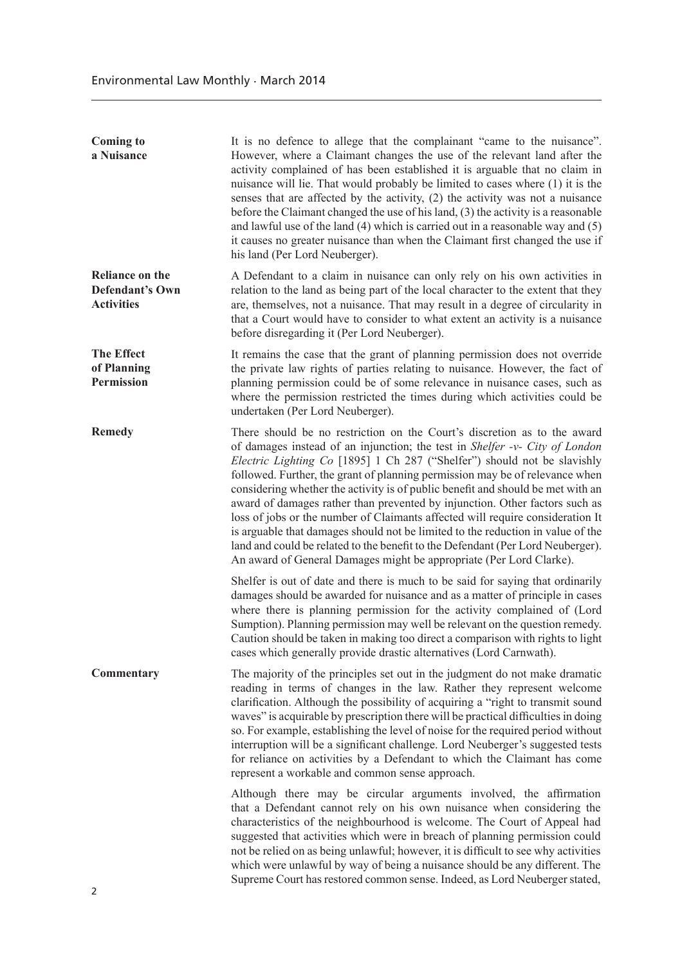| <b>Coming to</b><br>a Nuisance                                 | It is no defence to allege that the complainant "came to the nuisance".<br>However, where a Claimant changes the use of the relevant land after the<br>activity complained of has been established it is arguable that no claim in<br>nuisance will lie. That would probably be limited to cases where (1) it is the<br>senses that are affected by the activity, (2) the activity was not a nuisance<br>before the Claimant changed the use of his land, (3) the activity is a reasonable<br>and lawful use of the land $(4)$ which is carried out in a reasonable way and $(5)$<br>it causes no greater nuisance than when the Claimant first changed the use if<br>his land (Per Lord Neuberger).                                                                                                                 |
|----------------------------------------------------------------|----------------------------------------------------------------------------------------------------------------------------------------------------------------------------------------------------------------------------------------------------------------------------------------------------------------------------------------------------------------------------------------------------------------------------------------------------------------------------------------------------------------------------------------------------------------------------------------------------------------------------------------------------------------------------------------------------------------------------------------------------------------------------------------------------------------------|
| Reliance on the<br><b>Defendant's Own</b><br><b>Activities</b> | A Defendant to a claim in nuisance can only rely on his own activities in<br>relation to the land as being part of the local character to the extent that they<br>are, themselves, not a nuisance. That may result in a degree of circularity in<br>that a Court would have to consider to what extent an activity is a nuisance<br>before disregarding it (Per Lord Neuberger).                                                                                                                                                                                                                                                                                                                                                                                                                                     |
| <b>The Effect</b><br>of Planning<br><b>Permission</b>          | It remains the case that the grant of planning permission does not override<br>the private law rights of parties relating to nuisance. However, the fact of<br>planning permission could be of some relevance in nuisance cases, such as<br>where the permission restricted the times during which activities could be<br>undertaken (Per Lord Neuberger).                                                                                                                                                                                                                                                                                                                                                                                                                                                           |
| <b>Remedy</b>                                                  | There should be no restriction on the Court's discretion as to the award<br>of damages instead of an injunction; the test in Shelfer -v- City of London<br>Electric Lighting Co [1895] 1 Ch 287 ("Shelfer") should not be slavishly<br>followed. Further, the grant of planning permission may be of relevance when<br>considering whether the activity is of public benefit and should be met with an<br>award of damages rather than prevented by injunction. Other factors such as<br>loss of jobs or the number of Claimants affected will require consideration It<br>is arguable that damages should not be limited to the reduction in value of the<br>land and could be related to the benefit to the Defendant (Per Lord Neuberger).<br>An award of General Damages might be appropriate (Per Lord Clarke). |
|                                                                | Shelfer is out of date and there is much to be said for saying that ordinarily<br>damages should be awarded for nuisance and as a matter of principle in cases<br>where there is planning permission for the activity complained of (Lord<br>Sumption). Planning permission may well be relevant on the question remedy.<br>Caution should be taken in making too direct a comparison with rights to light<br>cases which generally provide drastic alternatives (Lord Carnwath).                                                                                                                                                                                                                                                                                                                                    |
| <b>Commentary</b>                                              | The majority of the principles set out in the judgment do not make dramatic<br>reading in terms of changes in the law. Rather they represent welcome<br>clarification. Although the possibility of acquiring a "right to transmit sound<br>waves" is acquirable by prescription there will be practical difficulties in doing<br>so. For example, establishing the level of noise for the required period without<br>interruption will be a significant challenge. Lord Neuberger's suggested tests<br>for reliance on activities by a Defendant to which the Claimant has come<br>represent a workable and common sense approach.                                                                                                                                                                                   |
|                                                                | Although there may be circular arguments involved, the affirmation<br>that a Defendant cannot rely on his own nuisance when considering the<br>characteristics of the neighbourhood is welcome. The Court of Appeal had<br>suggested that activities which were in breach of planning permission could<br>not be relied on as being unlawful; however, it is difficult to see why activities<br>which were unlawful by way of being a nuisance should be any different. The<br>Supreme Court has restored common sense. Indeed, as Lord Neuberger stated,                                                                                                                                                                                                                                                            |